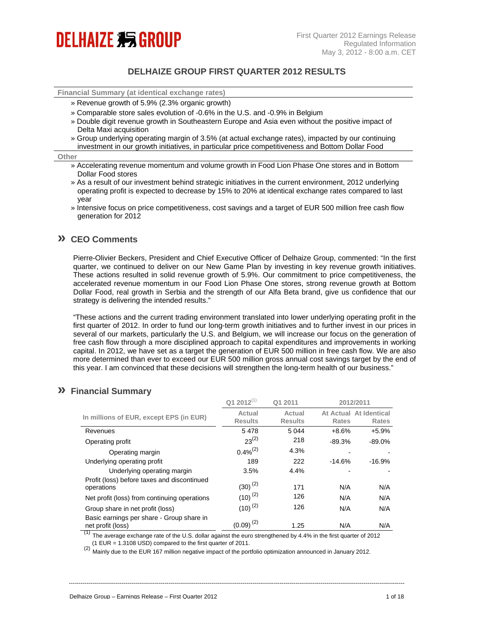# **DELHAIZE 剩 GROUP**

### **DELHAIZE GROUP FIRST QUARTER 2012 RESULTS**

**Financial Summary (at identical exchange rates)**

- » Revenue growth of 5.9% (2.3% organic growth)
- » Comparable store sales evolution of -0.6% in the U.S. and -0.9% in Belgium
- » Double digit revenue growth in Southeastern Europe and Asia even without the positive impact of Delta Maxi acquisition
- » Group underlying operating margin of 3.5% (at actual exchange rates), impacted by our continuing investment in our growth initiatives, in particular price competitiveness and Bottom Dollar Food

#### **Other**

- » Accelerating revenue momentum and volume growth in Food Lion Phase One stores and in Bottom Dollar Food stores
- » As a result of our investment behind strategic initiatives in the current environment, 2012 underlying operating profit is expected to decrease by 15% to 20% at identical exchange rates compared to last year
- » Intensive focus on price competitiveness, cost savings and a target of EUR 500 million free cash flow generation for 2012

### **» CEO Comments**

Pierre-Olivier Beckers, President and Chief Executive Officer of Delhaize Group, commented: "In the first quarter, we continued to deliver on our New Game Plan by investing in key revenue growth initiatives. These actions resulted in solid revenue growth of 5.9%. Our commitment to price competitiveness, the accelerated revenue momentum in our Food Lion Phase One stores, strong revenue growth at Bottom Dollar Food, real growth in Serbia and the strength of our Alfa Beta brand, give us confidence that our strategy is delivering the intended results."

"These actions and the current trading environment translated into lower underlying operating profit in the first quarter of 2012. In order to fund our long-term growth initiatives and to further invest in our prices in several of our markets, particularly the U.S. and Belgium, we will increase our focus on the generation of free cash flow through a more disciplined approach to capital expenditures and improvements in working capital. In 2012, we have set as a target the generation of EUR 500 million in free cash flow. We are also more determined than ever to exceed our EUR 500 million gross annual cost savings target by the end of this year. I am convinced that these decisions will strengthen the long-term health of our business."

### **» Financial Summary**

|                                                                | $Q12012^{(1)}$           | Q1 2011                  |                    | 2012/2011                    |
|----------------------------------------------------------------|--------------------------|--------------------------|--------------------|------------------------------|
| In millions of EUR, except EPS (in EUR)                        | Actual<br><b>Results</b> | Actual<br><b>Results</b> | At Actual<br>Rates | At Identical<br><b>Rates</b> |
| Revenues                                                       | 5478                     | 5 0 4 4                  | $+8.6%$            | $+5.9%$                      |
| Operating profit                                               | $23^{(2)}$               | 218                      | $-89.3%$           | -89.0%                       |
| Operating margin                                               | $0.4\%^{(2)}$            | 4.3%                     |                    |                              |
| Underlying operating profit                                    | 189                      | 222                      | $-14.6%$           | $-16.9%$                     |
| Underlying operating margin                                    | 3.5%                     | 4.4%                     |                    |                              |
| Profit (loss) before taxes and discontinued<br>operations      | $(30)^{(2)}$             | 171                      | N/A                | N/A                          |
| Net profit (loss) from continuing operations                   | $(10)^{(2)}$             | 126                      | N/A                | N/A                          |
| Group share in net profit (loss)                               | $(10)^{(2)}$             | 126                      | N/A                | N/A                          |
| Basic earnings per share - Group share in<br>net profit (loss) | $(0.09)^{(2)}$           | 1.25                     | N/A                | N/A                          |

 $(1)$  The average exchange rate of the U.S. dollar against the euro strengthened by 4.4% in the first quarter of 2012 (1 EUR = 1.3108 USD) compared to the first quarter of 2011.

----------------------------------------------------------------------------------------------------------------------------------------------------------------------------

(2) Mainly due to the EUR 167 million negative impact of the portfolio optimization announced in January 2012.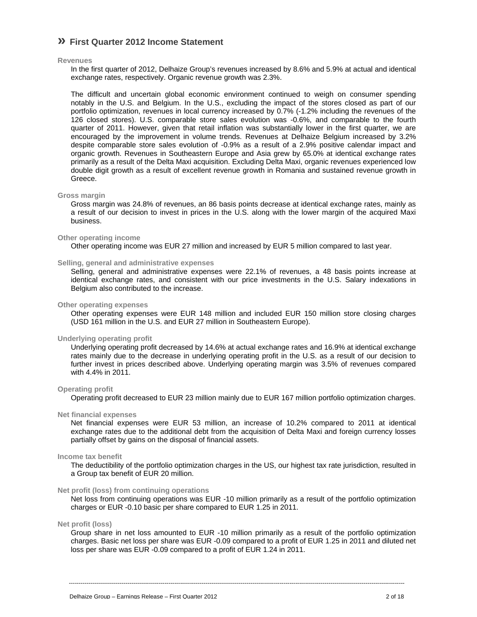### **» First Quarter 2012 Income Statement**

#### **Revenues**

In the first quarter of 2012, Delhaize Group's revenues increased by 8.6% and 5.9% at actual and identical exchange rates, respectively. Organic revenue growth was 2.3%.

The difficult and uncertain global economic environment continued to weigh on consumer spending notably in the U.S. and Belgium. In the U.S., excluding the impact of the stores closed as part of our portfolio optimization, revenues in local currency increased by 0.7% (-1.2% including the revenues of the 126 closed stores). U.S. comparable store sales evolution was -0.6%, and comparable to the fourth quarter of 2011. However, given that retail inflation was substantially lower in the first quarter, we are encouraged by the improvement in volume trends. Revenues at Delhaize Belgium increased by 3.2% despite comparable store sales evolution of -0.9% as a result of a 2.9% positive calendar impact and organic growth. Revenues in Southeastern Europe and Asia grew by 65.0% at identical exchange rates primarily as a result of the Delta Maxi acquisition. Excluding Delta Maxi, organic revenues experienced low double digit growth as a result of excellent revenue growth in Romania and sustained revenue growth in Greece.

#### **Gross margin**

Gross margin was 24.8% of revenues, an 86 basis points decrease at identical exchange rates, mainly as a result of our decision to invest in prices in the U.S. along with the lower margin of the acquired Maxi business.

#### **Other operating income**

Other operating income was EUR 27 million and increased by EUR 5 million compared to last year.

#### **Selling, general and administrative expenses**

Selling, general and administrative expenses were 22.1% of revenues, a 48 basis points increase at identical exchange rates, and consistent with our price investments in the U.S. Salary indexations in Belgium also contributed to the increase.

#### **Other operating expenses**

Other operating expenses were EUR 148 million and included EUR 150 million store closing charges (USD 161 million in the U.S. and EUR 27 million in Southeastern Europe).

#### **Underlying operating profit**

Underlying operating profit decreased by 14.6% at actual exchange rates and 16.9% at identical exchange rates mainly due to the decrease in underlying operating profit in the U.S. as a result of our decision to further invest in prices described above. Underlying operating margin was 3.5% of revenues compared with 4.4% in 2011.

#### **Operating profit**

Operating profit decreased to EUR 23 million mainly due to EUR 167 million portfolio optimization charges.

#### **Net financial expenses**

Net financial expenses were EUR 53 million, an increase of 10.2% compared to 2011 at identical exchange rates due to the additional debt from the acquisition of Delta Maxi and foreign currency losses partially offset by gains on the disposal of financial assets.

#### **Income tax benefit**

The deductibility of the portfolio optimization charges in the US, our highest tax rate jurisdiction, resulted in a Group tax benefit of EUR 20 million.

#### **Net profit (loss) from continuing operations**

Net loss from continuing operations was EUR -10 million primarily as a result of the portfolio optimization charges or EUR -0.10 basic per share compared to EUR 1.25 in 2011.

#### **Net profit (loss)**

Group share in net loss amounted to EUR -10 million primarily as a result of the portfolio optimization charges. Basic net loss per share was EUR -0.09 compared to a profit of EUR 1.25 in 2011 and diluted net loss per share was EUR -0.09 compared to a profit of EUR 1.24 in 2011.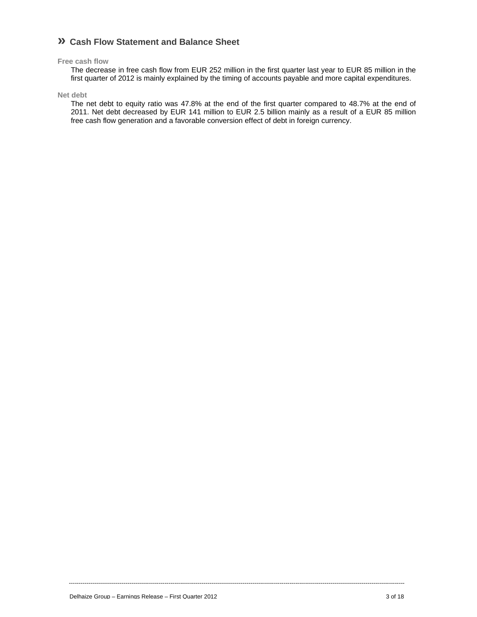### **» Cash Flow Statement and Balance Sheet**

#### **Free cash flow**

The decrease in free cash flow from EUR 252 million in the first quarter last year to EUR 85 million in the first quarter of 2012 is mainly explained by the timing of accounts payable and more capital expenditures.

#### **Net debt**

The net debt to equity ratio was 47.8% at the end of the first quarter compared to 48.7% at the end of 2011. Net debt decreased by EUR 141 million to EUR 2.5 billion mainly as a result of a EUR 85 million free cash flow generation and a favorable conversion effect of debt in foreign currency.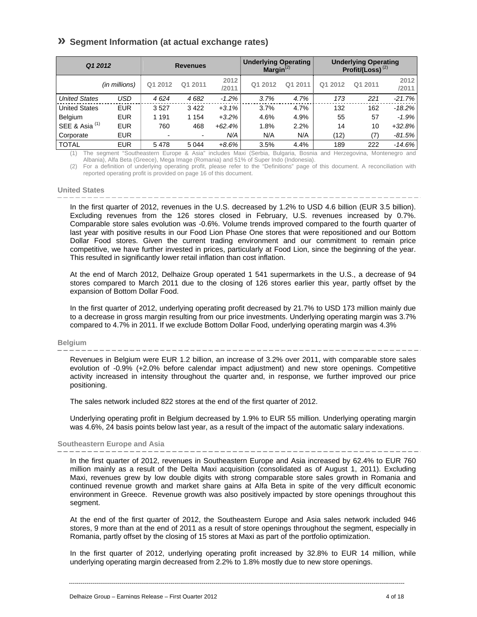### **» Segment Information (at actual exchange rates)**

| Q1 2012                   |               |                | <b>Revenues</b>          |               | <b>Underlying Operating</b><br>$Marqin^{(2)}$ |         | <b>Underlying Operating</b><br>Profit/(Loss) $(2)$ |         |               |
|---------------------------|---------------|----------------|--------------------------|---------------|-----------------------------------------------|---------|----------------------------------------------------|---------|---------------|
|                           | (in millions) | Q1 2012        | Q1 2011                  | 2012<br>/2011 | Q1 2012                                       | Q1 2011 | Q1 2012                                            | Q1 2011 | 2012<br>/2011 |
| <b>United States</b>      | USD           | 4624           | 4 6 8 2                  | $-1.2%$       | 3.7%                                          | 4.7%    | 173                                                | 221     | $-21.7%$      |
| <b>United States</b>      | <b>EUR</b>    | 3527           | 3422                     | $+3.1%$       | 3.7%                                          | 4.7%    | 132                                                | 162     | -18.2%        |
| Belgium                   | <b>EUR</b>    | 1 1 9 1        | 1 1 5 4                  | $+3.2%$       | 4.6%                                          | 4.9%    | 55                                                 | 57      | $-1.9%$       |
| SEE & Asia <sup>(1)</sup> | <b>EUR</b>    | 760            | 468                      | $+62.4%$      | 1.8%                                          | 2.2%    | 14                                                 | 10      | $+32.8%$      |
| Corporate                 | <b>EUR</b>    | $\blacksquare$ | $\overline{\phantom{a}}$ | N/A           | N/A                                           | N/A     | (12)                                               | (7)     | $-81.5%$      |
| <b>TOTAL</b>              | <b>EUR</b>    | 5478           | 5 0 4 4                  | $+8.6%$       | 3.5%                                          | 4.4%    | 189                                                | 222     | $-14.6%$      |

(1) The segment "Southeastern Europe & Asia" includes Maxi (Serbia, Bulgaria, Bosnia and Herzegovina, Montenegro and Albania), Alfa Beta (Greece), Mega Image (Romania) and 51% of Super Indo (Indonesia).

(2) For a definition of underlying operating profit, please refer to the "Definitions" page of this document. A reconciliation with reported operating profit is provided on page 16 of this document.

#### **United States**

In the first quarter of 2012, revenues in the U.S. decreased by 1.2% to USD 4.6 billion (EUR 3.5 billion). Excluding revenues from the 126 stores closed in February, U.S. revenues increased by 0.7%. Comparable store sales evolution was -0.6%. Volume trends improved compared to the fourth quarter of last year with positive results in our Food Lion Phase One stores that were repositioned and our Bottom Dollar Food stores. Given the current trading environment and our commitment to remain price competitive, we have further invested in prices, particularly at Food Lion, since the beginning of the year. This resulted in significantly lower retail inflation than cost inflation.

At the end of March 2012, Delhaize Group operated 1 541 supermarkets in the U.S., a decrease of 94 stores compared to March 2011 due to the closing of 126 stores earlier this year, partly offset by the expansion of Bottom Dollar Food.

In the first quarter of 2012, underlying operating profit decreased by 21.7% to USD 173 million mainly due to a decrease in gross margin resulting from our price investments. Underlying operating margin was 3.7% compared to 4.7% in 2011. If we exclude Bottom Dollar Food, underlying operating margin was 4.3%

#### **Belgium**

Revenues in Belgium were EUR 1.2 billion, an increase of 3.2% over 2011, with comparable store sales evolution of -0.9% (+2.0% before calendar impact adjustment) and new store openings. Competitive activity increased in intensity throughout the quarter and, in response, we further improved our price positioning.

The sales network included 822 stores at the end of the first quarter of 2012.

Underlying operating profit in Belgium decreased by 1.9% to EUR 55 million. Underlying operating margin was 4.6%, 24 basis points below last year, as a result of the impact of the automatic salary indexations.

#### **Southeastern Europe and Asia**

In the first quarter of 2012, revenues in Southeastern Europe and Asia increased by 62.4% to EUR 760 million mainly as a result of the Delta Maxi acquisition (consolidated as of August 1, 2011). Excluding Maxi, revenues grew by low double digits with strong comparable store sales growth in Romania and continued revenue growth and market share gains at Alfa Beta in spite of the very difficult economic environment in Greece. Revenue growth was also positively impacted by store openings throughout this segment.

At the end of the first quarter of 2012, the Southeastern Europe and Asia sales network included 946 stores, 9 more than at the end of 2011 as a result of store openings throughout the segment, especially in Romania, partly offset by the closing of 15 stores at Maxi as part of the portfolio optimization.

In the first quarter of 2012, underlying operating profit increased by 32.8% to EUR 14 million, while underlying operating margin decreased from 2.2% to 1.8% mostly due to new store openings.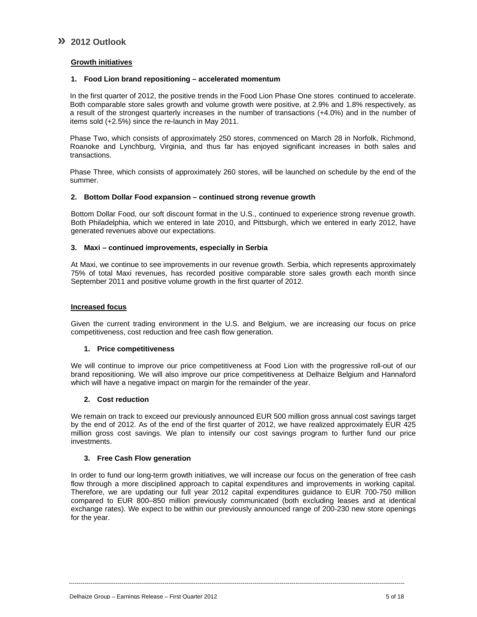### **» 2012 Outlook**

### **Growth initiatives**

### **1. Food Lion brand repositioning – accelerated momentum**

In the first quarter of 2012, the positive trends in the Food Lion Phase One stores continued to accelerate. Both comparable store sales growth and volume growth were positive, at 2.9% and 1.8% respectively, as a result of the strongest quarterly increases in the number of transactions (+4.0%) and in the number of items sold (+2.5%) since the re-launch in May 2011.

Phase Two, which consists of approximately 250 stores, commenced on March 28 in Norfolk, Richmond, Roanoke and Lynchburg, Virginia, and thus far has enjoyed significant increases in both sales and transactions.

Phase Three, which consists of approximately 260 stores, will be launched on schedule by the end of the summer.

### **2. Bottom Dollar Food expansion – continued strong revenue growth**

Bottom Dollar Food, our soft discount format in the U.S., continued to experience strong revenue growth. Both Philadelphia, which we entered in late 2010, and Pittsburgh, which we entered in early 2012, have generated revenues above our expectations.

#### **3. Maxi – continued improvements, especially in Serbia**

At Maxi, we continue to see improvements in our revenue growth. Serbia, which represents approximately 75% of total Maxi revenues, has recorded positive comparable store sales growth each month since September 2011 and positive volume growth in the first quarter of 2012.

#### **Increased focus**

Given the current trading environment in the U.S. and Belgium, we are increasing our focus on price competitiveness, cost reduction and free cash flow generation.

#### **1. Price competitiveness**

We will continue to improve our price competitiveness at Food Lion with the progressive roll-out of our brand repositioning. We will also improve our price competitiveness at Delhaize Belgium and Hannaford which will have a negative impact on margin for the remainder of the year.

#### **2. Cost reduction**

We remain on track to exceed our previously announced EUR 500 million gross annual cost savings target by the end of 2012. As of the end of the first quarter of 2012, we have realized approximately EUR 425 million gross cost savings. We plan to intensify our cost savings program to further fund our price investments.

#### **3. Free Cash Flow generation**

In order to fund our long-term growth initiatives, we will increase our focus on the generation of free cash flow through a more disciplined approach to capital expenditures and improvements in working capital. Therefore, we are updating our full year 2012 capital expenditures guidance to EUR 700-750 million compared to EUR 800–850 million previously communicated (both excluding leases and at identical exchange rates). We expect to be within our previously announced range of 200-230 new store openings for the year.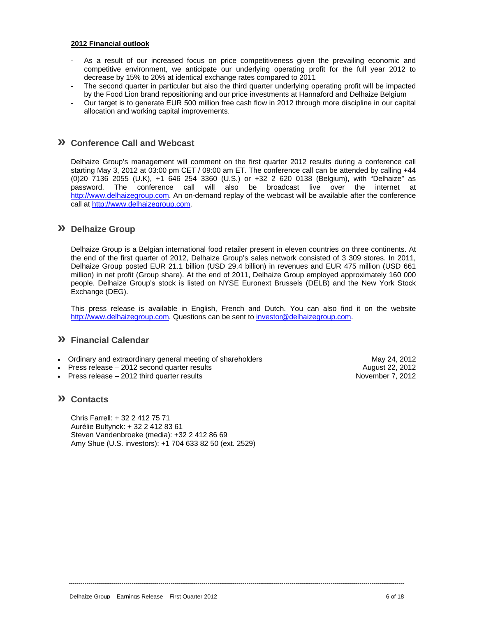#### **2012 Financial outlook**

- As a result of our increased focus on price competitiveness given the prevailing economic and competitive environment, we anticipate our underlying operating profit for the full year 2012 to decrease by 15% to 20% at identical exchange rates compared to 2011
- The second quarter in particular but also the third quarter underlying operating profit will be impacted by the Food Lion brand repositioning and our price investments at Hannaford and Delhaize Belgium
- Our target is to generate EUR 500 million free cash flow in 2012 through more discipline in our capital allocation and working capital improvements.

### **» Conference Call and Webcast**

Delhaize Group's management will comment on the first quarter 2012 results during a conference call starting May 3, 2012 at 03:00 pm CET / 09:00 am ET. The conference call can be attended by calling +44 (0)20 7136 2055 (U.K), +1 646 254 3360 (U.S.) or +32 2 620 0138 (Belgium), with "Delhaize" as password. The conference call will also be broadcast live over the internet at http://www.delhaizegroup.com. An on-demand replay of the webcast will be available after the conference call at http://www.delhaizegroup.com.

### **» Delhaize Group**

Delhaize Group is a Belgian international food retailer present in eleven countries on three continents. At the end of the first quarter of 2012, Delhaize Group's sales network consisted of 3 309 stores. In 2011, Delhaize Group posted EUR 21.1 billion (USD 29.4 billion) in revenues and EUR 475 million (USD 661 million) in net profit (Group share). At the end of 2011, Delhaize Group employed approximately 160 000 people. Delhaize Group's stock is listed on NYSE Euronext Brussels (DELB) and the New York Stock Exchange (DEG).

This press release is available in English, French and Dutch. You can also find it on the website http://www.delhaizegroup.com. Questions can be sent to investor@delhaizegroup.com.

----------------------------------------------------------------------------------------------------------------------------------------------------------------------------

### **» Financial Calendar**

- Ordinary and extraordinary general meeting of shareholders **May 24, 2012** May 24, 2012
- Press release 2012 second quarter results August 22, 2012
- Press release 2012 third quarter results November 7, 2012

### **» Contacts**

Chris Farrell: + 32 2 412 75 71 Aurélie Bultynck: + 32 2 412 83 61 Steven Vandenbroeke (media): +32 2 412 86 69 Amy Shue (U.S. investors): +1 704 633 82 50 (ext. 2529)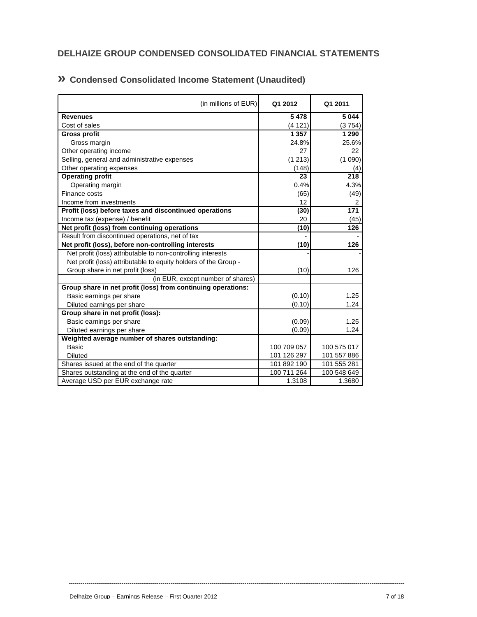# **DELHAIZE GROUP CONDENSED CONSOLIDATED FINANCIAL STATEMENTS**

| (in millions of EUR)                                            | Q1 2012     | Q1 2011          |
|-----------------------------------------------------------------|-------------|------------------|
| <b>Revenues</b>                                                 | 5478        | 5 0 4 4          |
| Cost of sales                                                   | (4121)      | (3754)           |
| <b>Gross profit</b>                                             | 1 3 5 7     | 1 2 9 0          |
| Gross margin                                                    | 24.8%       | 25.6%            |
| Other operating income                                          | 27          | 22               |
| Selling, general and administrative expenses                    | (1213)      | (1090)           |
| Other operating expenses                                        | (148)       | (4)              |
| <b>Operating profit</b>                                         | 23          | 218              |
| Operating margin                                                | 0.4%        | 4.3%             |
| Finance costs                                                   | (65)        | (49)             |
| Income from investments                                         | 12          | 2                |
| Profit (loss) before taxes and discontinued operations          | (30)        | $\overline{171}$ |
| Income tax (expense) / benefit                                  | 20          | (45)             |
| Net profit (loss) from continuing operations                    | (10)        | 126              |
| Result from discontinued operations, net of tax                 |             |                  |
| Net profit (loss), before non-controlling interests             | (10)        | 126              |
| Net profit (loss) attributable to non-controlling interests     |             |                  |
| Net profit (loss) attributable to equity holders of the Group - |             |                  |
| Group share in net profit (loss)                                | (10)        | 126              |
| (in EUR, except number of shares)                               |             |                  |
| Group share in net profit (loss) from continuing operations:    |             |                  |
| Basic earnings per share                                        | (0.10)      | 1.25             |
| Diluted earnings per share                                      | (0.10)      | 1.24             |
| Group share in net profit (loss):                               |             |                  |
| Basic earnings per share                                        | (0.09)      | 1.25             |
| Diluted earnings per share                                      | (0.09)      | 1.24             |
| Weighted average number of shares outstanding:                  |             |                  |
| Basic                                                           | 100 709 057 | 100 575 017      |
| <b>Diluted</b>                                                  | 101 126 297 | 101 557 886      |
| Shares issued at the end of the quarter                         | 101 892 190 | 101 555 281      |
| Shares outstanding at the end of the quarter                    | 100 711 264 | 100 548 649      |
| Average USD per EUR exchange rate                               | 1.3108      | 1.3680           |

# **» Condensed Consolidated Income Statement (Unaudited)**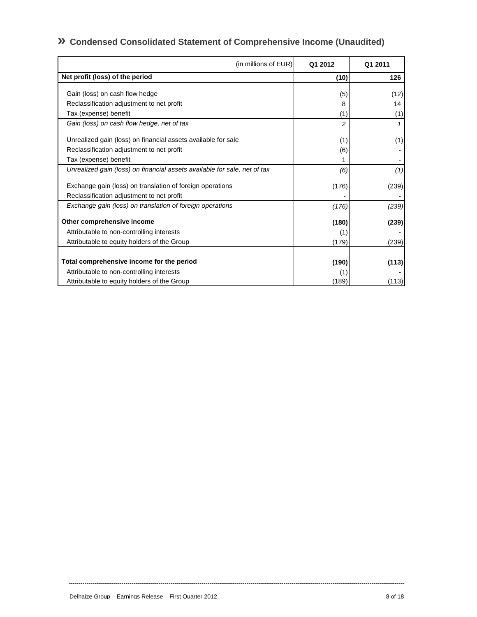# **» Condensed Consolidated Statement of Comprehensive Income (Unaudited)**

| (in millions of EUR)                                                      | Q1 2012 | Q1 2011 |
|---------------------------------------------------------------------------|---------|---------|
| Net profit (loss) of the period                                           | (10)    | 126     |
| Gain (loss) on cash flow hedge                                            | (5)     | (12)    |
| Reclassification adjustment to net profit                                 | 8       | 14      |
| Tax (expense) benefit                                                     | (1)     | (1)     |
| Gain (loss) on cash flow hedge, net of tax                                | 2       |         |
| Unrealized gain (loss) on financial assets available for sale             | (1)     | (1)     |
| Reclassification adjustment to net profit                                 | (6)     |         |
| Tax (expense) benefit                                                     |         |         |
| Unrealized gain (loss) on financial assets available for sale, net of tax | (6)     | (1)     |
| Exchange gain (loss) on translation of foreign operations                 | (176)   | (239)   |
| Reclassification adjustment to net profit                                 |         |         |
| Exchange gain (loss) on translation of foreign operations                 | (176)   | (239)   |
| Other comprehensive income                                                | (180)   | (239)   |
| Attributable to non-controlling interests                                 | (1)     |         |
| Attributable to equity holders of the Group                               | (179)   | (239)   |
| Total comprehensive income for the period                                 | (190)   | (113)   |
| Attributable to non-controlling interests                                 | (1)     |         |
| Attributable to equity holders of the Group                               | (189)   | (113)   |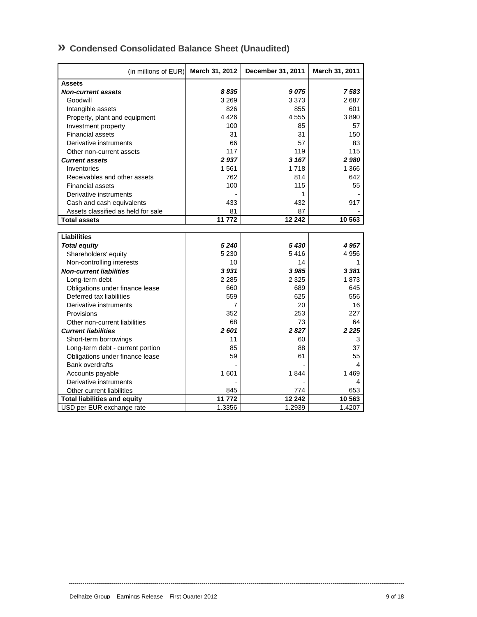| » Condensed Consolidated Balance Sheet (Unaudited) |
|----------------------------------------------------|
|----------------------------------------------------|

| (in millions of EUR)                | March 31, 2012 | December 31, 2011 | March 31, 2011 |
|-------------------------------------|----------------|-------------------|----------------|
| <b>Assets</b>                       |                |                   |                |
| <b>Non-current assets</b>           | 8835           | 9075              | 7583           |
| Goodwill                            | 3 2 6 9        | 3 3 7 3           | 2687           |
| Intangible assets                   | 826            | 855               | 601            |
| Property, plant and equipment       | 4426           | 4555              | 3890           |
| Investment property                 | 100            | 85                | 57             |
| <b>Financial assets</b>             | 31             | 31                | 150            |
| Derivative instruments              | 66             | 57                | 83             |
| Other non-current assets            | 117            | 119               | 115            |
| <b>Current assets</b>               | 2937           | 3 167             | 2980           |
| Inventories                         | 1561           | 1718              | 1 3 6 6        |
| Receivables and other assets        | 762            | 814               | 642            |
| <b>Financial assets</b>             | 100            | 115               | 55             |
| Derivative instruments              |                | 1                 |                |
| Cash and cash equivalents           | 433            | 432               | 917            |
| Assets classified as held for sale  | 81             | 87                |                |
| <b>Total assets</b>                 | 11 772         | 12 24 2           | 10 563         |
|                                     |                |                   |                |
| <b>Liabilities</b>                  |                |                   |                |
| <b>Total equity</b>                 | 5240           | 5430              | 4 957          |
| Shareholders' equity                | 5 2 3 0        | 5416              | 4956           |
| Non-controlling interests           | 10             | 14                | 1              |
| <b>Non-current liabilities</b>      | 3931           | 3 9 8 5           | 3 3 8 1        |
| Long-term debt                      | 2 2 8 5        | 2 3 2 5           | 1873           |
| Obligations under finance lease     | 660            | 689               | 645            |
| Deferred tax liabilities            | 559            | 625               | 556            |
| Derivative instruments              | 7              | 20                | 16             |
| Provisions                          | 352            | 253               | 227            |
| Other non-current liabilities       | 68             | 73                | 64             |
| <b>Current liabilities</b>          | 2601           | 2827              | 2 2 2 5        |
| Short-term borrowings               | 11             | 60                | 3              |
| Long-term debt - current portion    | 85             | 88                | 37             |
| Obligations under finance lease     | 59             | 61                | 55             |
| <b>Bank overdrafts</b>              |                |                   | 4              |
| Accounts payable                    | 1 601          | 1844              | 1 4 6 9        |
| Derivative instruments              |                |                   | 4              |
| Other current liabilities           | 845            | 774               | 653            |
| <b>Total liabilities and equity</b> | 11 772         | 12 24 2           | 10 563         |
| USD per EUR exchange rate           | 1.3356         | 1.2939            | 1.4207         |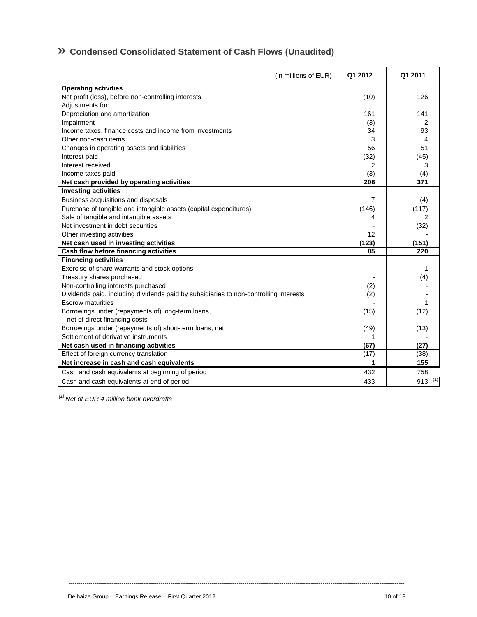## **» Condensed Consolidated Statement of Cash Flows (Unaudited)**

| (in millions of EUR)                                                                  | Q1 2012           | Q1 2011     |
|---------------------------------------------------------------------------------------|-------------------|-------------|
| <b>Operating activities</b>                                                           |                   |             |
| Net profit (loss), before non-controlling interests                                   | (10)              | 126         |
| Adjustments for:                                                                      |                   |             |
| Depreciation and amortization                                                         | 161               | 141         |
| Impairment                                                                            | (3)               | 2           |
| Income taxes, finance costs and income from investments                               | 34                | 93          |
| Other non-cash items                                                                  | 3                 | 4           |
| Changes in operating assets and liabilities                                           | 56                | 51          |
| Interest paid                                                                         | (32)              | (45)        |
| Interest received                                                                     | $\overline{2}$    | 3           |
| Income taxes paid                                                                     | (3)               | (4)         |
| Net cash provided by operating activities                                             | 208               | 371         |
| <b>Investing activities</b>                                                           |                   |             |
| Business acquisitions and disposals                                                   | 7                 | (4)         |
| Purchase of tangible and intangible assets (capital expenditures)                     | (146)             | (117)       |
| Sale of tangible and intangible assets                                                | 4                 | 2           |
| Net investment in debt securities                                                     |                   | (32)        |
| Other investing activities                                                            | 12                |             |
| Net cash used in investing activities                                                 | (123)             | (151)       |
| Cash flow before financing activities                                                 | 85                | 220         |
| <b>Financing activities</b>                                                           |                   |             |
| Exercise of share warrants and stock options                                          |                   | 1           |
| Treasury shares purchased                                                             |                   | (4)         |
| Non-controlling interests purchased                                                   | (2)               |             |
| Dividends paid, including dividends paid by subsidiaries to non-controlling interests | (2)               |             |
| <b>Escrow maturities</b>                                                              |                   | 1           |
| Borrowings under (repayments of) long-term loans,                                     | (15)              | (12)        |
| net of direct financing costs                                                         |                   |             |
| Borrowings under (repayments of) short-term loans, net                                | (49)              | (13)        |
| Settlement of derivative instruments                                                  |                   |             |
| Net cash used in financing activities                                                 | $\overline{(67)}$ | (27)        |
| Effect of foreign currency translation                                                | (17)              | (38)        |
| Net increase in cash and cash equivalents                                             | 1                 | 155         |
| Cash and cash equivalents at beginning of period                                      | 432               | 758         |
| Cash and cash equivalents at end of period                                            | 433               | $913^{(1)}$ |

----------------------------------------------------------------------------------------------------------------------------------------------------------------------------

 *(1) Net of EUR 4 million bank overdrafts*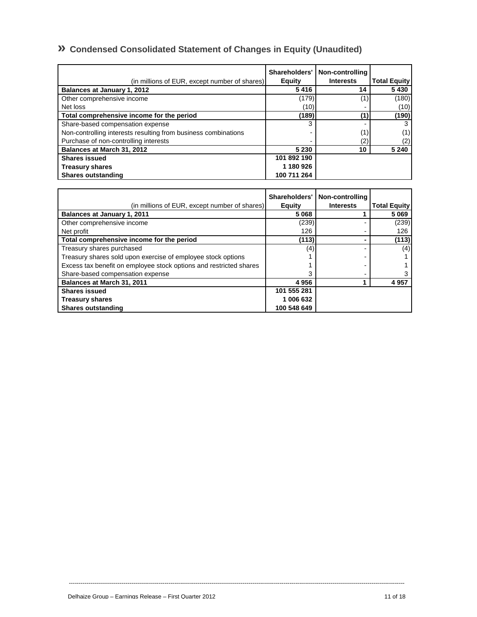# **» Condensed Consolidated Statement of Changes in Equity (Unaudited)**

| (in millions of EUR, except number of shares)                  | Shareholders'<br><b>Equity</b> | Non-controlling<br><b>Interests</b> | <b>Total Equity</b> |
|----------------------------------------------------------------|--------------------------------|-------------------------------------|---------------------|
| Balances at January 1, 2012                                    | 5416                           | 14                                  | 5430                |
| Other comprehensive income                                     | (179)                          | (1)                                 | (180)               |
| Net loss                                                       | (10)                           |                                     | (10)                |
| Total comprehensive income for the period                      | (189)                          | (1)                                 | (190)               |
| Share-based compensation expense                               | 3                              |                                     | 3                   |
| Non-controlling interests resulting from business combinations |                                | (1)                                 | (1)                 |
| Purchase of non-controlling interests                          |                                | (2)                                 | (2)                 |
| Balances at March 31, 2012                                     | 5 2 3 0                        | 10                                  | 5 2 4 0             |
| <b>Shares issued</b>                                           | 101 892 190                    |                                     |                     |
| <b>Treasury shares</b>                                         | 1 180 926                      |                                     |                     |
| <b>Shares outstanding</b>                                      | 100 711 264                    |                                     |                     |

| (in millions of EUR, except number of shares).                     | Shareholders'<br><b>Equity</b> | Non-controlling<br><b>Interests</b> | <b>Total Equity</b> |
|--------------------------------------------------------------------|--------------------------------|-------------------------------------|---------------------|
| <b>Balances at January 1, 2011</b>                                 | 5 0 6 8                        |                                     | 5 0 6 9             |
| Other comprehensive income                                         | (239)                          |                                     | (239)               |
| Net profit                                                         | 126                            |                                     | 126                 |
| Total comprehensive income for the period                          | (113)                          |                                     | (113)               |
| Treasury shares purchased                                          | (4)                            |                                     | (4)                 |
| Treasury shares sold upon exercise of employee stock options       |                                |                                     |                     |
| Excess tax benefit on employee stock options and restricted shares |                                |                                     |                     |
| Share-based compensation expense                                   |                                |                                     |                     |
| Balances at March 31, 2011                                         | 4956                           |                                     | 4 9 5 7             |
| <b>Shares issued</b>                                               | 101 555 281                    |                                     |                     |
| <b>Treasury shares</b>                                             | 1 006 632                      |                                     |                     |
| <b>Shares outstanding</b>                                          | 100 548 649                    |                                     |                     |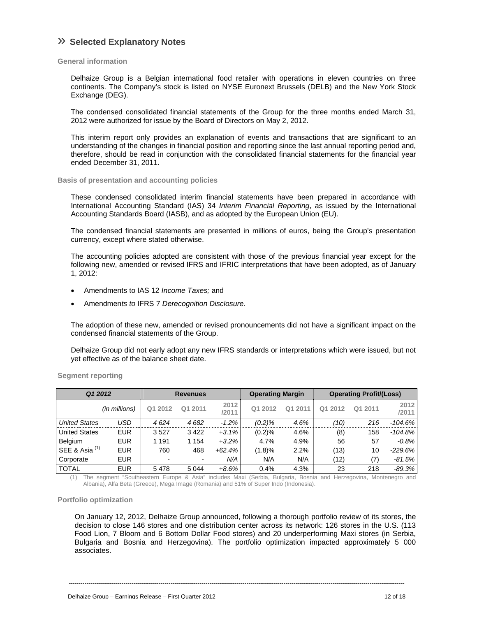### » **Selected Explanatory Notes**

#### **General information**

Delhaize Group is a Belgian international food retailer with operations in eleven countries on three continents. The Company's stock is listed on NYSE Euronext Brussels (DELB) and the New York Stock Exchange (DEG).

The condensed consolidated financial statements of the Group for the three months ended March 31, 2012 were authorized for issue by the Board of Directors on May 2, 2012.

This interim report only provides an explanation of events and transactions that are significant to an understanding of the changes in financial position and reporting since the last annual reporting period and, therefore, should be read in conjunction with the consolidated financial statements for the financial year ended December 31, 2011.

#### **Basis of presentation and accounting policies**

These condensed consolidated interim financial statements have been prepared in accordance with International Accounting Standard (IAS) 34 *Interim Financial Reporting*, as issued by the International Accounting Standards Board (IASB), and as adopted by the European Union (EU).

The condensed financial statements are presented in millions of euros, being the Group's presentation currency, except where stated otherwise.

The accounting policies adopted are consistent with those of the previous financial year except for the following new, amended or revised IFRS and IFRIC interpretations that have been adopted, as of January 1, 2012:

- Amendments to IAS 12 *Income Taxes;* and
- Amendmen*ts to* IFRS 7 *Derecognition Disclosure.*

The adoption of these new, amended or revised pronouncements did not have a significant impact on the condensed financial statements of the Group.

Delhaize Group did not early adopt any new IFRS standards or interpretations which were issued, but not yet effective as of the balance sheet date.

| Q1 2012                   |               |         | <b>Revenues</b> |               | <b>Operating Margin</b> |            | <b>Operating Profit/(Loss)</b> |         |               |
|---------------------------|---------------|---------|-----------------|---------------|-------------------------|------------|--------------------------------|---------|---------------|
|                           | (in millions) | Q1 2012 | Q1 2011         | 2012<br>/2011 | Q1 2012                 | 2011<br>Q1 | Q1 2012                        | Q1 2011 | 2012<br>/2011 |
| <b>United States</b>      | USD           | 4624    | 4682            | $-1.2%$       | (0.2)%                  | 4.6%       | (10)                           | 216     | $-104.6%$     |
| <b>United States</b>      | <b>EUR</b>    | 3527    | 3 4 2 2         | $+3.1%$       | (0.2)%                  | 4.6%       | (8)                            | 158     | $-104.8\%$    |
| Belgium                   | <b>EUR</b>    | 1 1 9 1 | 1 1 5 4         | $+3.2%$       | 4.7%                    | 4.9%       | 56                             | 57      | $-0.8%$       |
| SEE & Asia <sup>(1)</sup> | <b>EUR</b>    | 760     | 468             | $+62.4%$      | (1.8)%                  | 2.2%       | (13)                           | 10      | $-229.6%$     |
| Corporate                 | <b>EUR</b>    |         | -               | N/A           | N/A                     | N/A        | (12)                           | (7)     | $-81.5%$      |
| <b>TOTAL</b>              | <b>EUR</b>    | 5478    | 5 0 4 4         | $+8.6%$       | 0.4%                    | 4.3%       | 23                             | 218     | $-89.3\%$     |

**Segment reporting** 

(1) The segment "Southeastern Europe & Asia" includes Maxi (Serbia, Bulgaria, Bosnia and Herzegovina, Montenegro and Albania), Alfa Beta (Greece), Mega Image (Romania) and 51% of Super Indo (Indonesia).

#### **Portfolio optimization**

On January 12, 2012, Delhaize Group announced, following a thorough portfolio review of its stores, the decision to close 146 stores and one distribution center across its network: 126 stores in the U.S. (113 Food Lion, 7 Bloom and 6 Bottom Dollar Food stores) and 20 underperforming Maxi stores (in Serbia, Bulgaria and Bosnia and Herzegovina). The portfolio optimization impacted approximately 5 000 associates.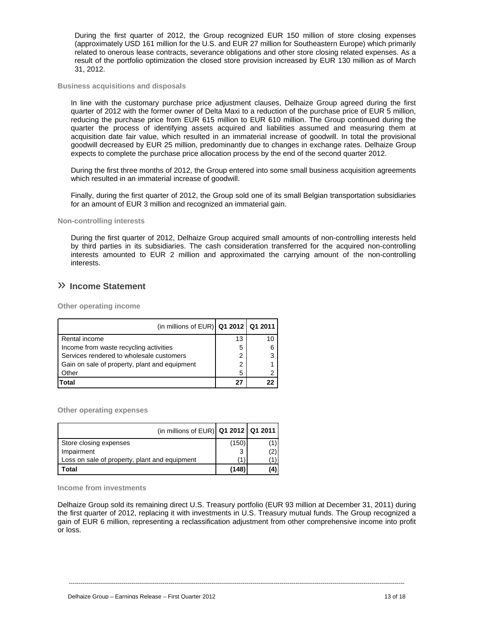During the first quarter of 2012, the Group recognized EUR 150 million of store closing expenses (approximately USD 161 million for the U.S. and EUR 27 million for Southeastern Europe) which primarily related to onerous lease contracts, severance obligations and other store closing related expenses. As a result of the portfolio optimization the closed store provision increased by EUR 130 million as of March 31, 2012.

#### **Business acquisitions and disposals**

In line with the customary purchase price adjustment clauses, Delhaize Group agreed during the first quarter of 2012 with the former owner of Delta Maxi to a reduction of the purchase price of EUR 5 million, reducing the purchase price from EUR 615 million to EUR 610 million. The Group continued during the quarter the process of identifying assets acquired and liabilities assumed and measuring them at acquisition date fair value, which resulted in an immaterial increase of goodwill. In total the provisional goodwill decreased by EUR 25 million, predominantly due to changes in exchange rates. Delhaize Group expects to complete the purchase price allocation process by the end of the second quarter 2012.

During the first three months of 2012, the Group entered into some small business acquisition agreements which resulted in an immaterial increase of goodwill.

Finally, during the first quarter of 2012, the Group sold one of its small Belgian transportation subsidiaries for an amount of EUR 3 million and recognized an immaterial gain.

#### **Non-controlling interests**

During the first quarter of 2012, Delhaize Group acquired small amounts of non-controlling interests held by third parties in its subsidiaries. The cash consideration transferred for the acquired non-controlling interests amounted to EUR 2 million and approximated the carrying amount of the non-controlling interests.

### » **Income Statement**

**Other operating income** 

| (in millions of EUR) $Q1 2012$ $Q1 2011$      |    |    |
|-----------------------------------------------|----|----|
| Rental income                                 | 13 | 10 |
| Income from waste recycling activities        | 5  |    |
| Services rendered to wholesale customers      | 2  |    |
| Gain on sale of property, plant and equipment | 2  |    |
| Other                                         | 5  |    |
| Total                                         | 27 |    |

**Other operating expenses** 

| (in millions of EUR)   Q1 2012   Q1 2011      |       |    |
|-----------------------------------------------|-------|----|
| Store closing expenses                        | (150) |    |
| Impairment                                    | 3     |    |
| Loss on sale of property, plant and equipment |       |    |
| Total                                         | (148) | 4) |

**Income from investments** 

Delhaize Group sold its remaining direct U.S. Treasury portfolio (EUR 93 million at December 31, 2011) during the first quarter of 2012, replacing it with investments in U.S. Treasury mutual funds. The Group recognized a gain of EUR 6 million, representing a reclassification adjustment from other comprehensive income into profit or loss.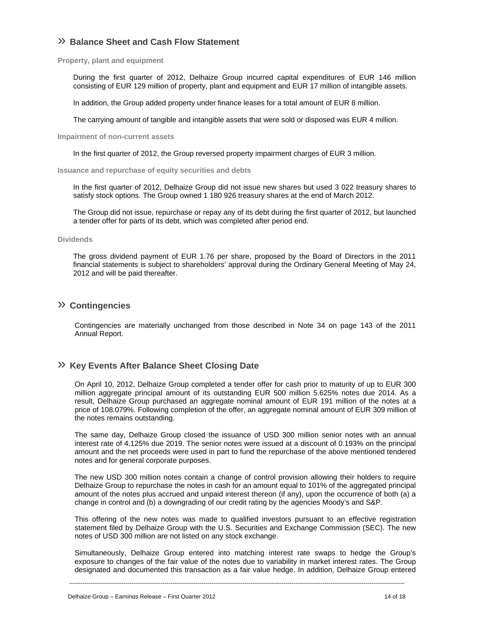### » **Balance Sheet and Cash Flow Statement**

**Property, plant and equipment** 

During the first quarter of 2012, Delhaize Group incurred capital expenditures of EUR 146 million consisting of EUR 129 million of property, plant and equipment and EUR 17 million of intangible assets.

In addition, the Group added property under finance leases for a total amount of EUR 8 million.

The carrying amount of tangible and intangible assets that were sold or disposed was EUR 4 million.

**Impairment of non-current assets** 

In the first quarter of 2012, the Group reversed property impairment charges of EUR 3 million.

**Issuance and repurchase of equity securities and debts** 

In the first quarter of 2012, Delhaize Group did not issue new shares but used 3 022 treasury shares to satisfy stock options. The Group owned 1 180 926 treasury shares at the end of March 2012.

The Group did not issue, repurchase or repay any of its debt during the first quarter of 2012, but launched a tender offer for parts of its debt, which was completed after period end.

#### **Dividends**

The gross dividend payment of EUR 1.76 per share, proposed by the Board of Directors in the 2011 financial statements is subject to shareholders' approval during the Ordinary General Meeting of May 24, 2012 and will be paid thereafter.

### » **Contingencies**

Contingencies are materially unchanged from those described in Note 34 on page 143 of the 2011 Annual Report.

### » **Key Events After Balance Sheet Closing Date**

On April 10, 2012, Delhaize Group completed a tender offer for cash prior to maturity of up to EUR 300 million aggregate principal amount of its outstanding EUR 500 million 5.625% notes due 2014. As a result, Delhaize Group purchased an aggregate nominal amount of EUR 191 million of the notes at a price of 108.079%. Following completion of the offer, an aggregate nominal amount of EUR 309 million of the notes remains outstanding.

The same day, Delhaize Group closed the issuance of USD 300 million senior notes with an annual interest rate of 4.125% due 2019. The senior notes were issued at a discount of 0.193% on the principal amount and the net proceeds were used in part to fund the repurchase of the above mentioned tendered notes and for general corporate purposes.

The new USD 300 million notes contain a change of control provision allowing their holders to require Delhaize Group to repurchase the notes in cash for an amount equal to 101% of the aggregated principal amount of the notes plus accrued and unpaid interest thereon (if any), upon the occurrence of both (a) a change in control and (b) a downgrading of our credit rating by the agencies Moody's and S&P.

This offering of the new notes was made to qualified investors pursuant to an effective registration statement filed by Delhaize Group with the U.S. Securities and Exchange Commission (SEC). The new notes of USD 300 million are not listed on any stock exchange.

Simultaneously, Delhaize Group entered into matching interest rate swaps to hedge the Group's exposure to changes of the fair value of the notes due to variability in market interest rates. The Group designated and documented this transaction as a fair value hedge. In addition, Delhaize Group entered

----------------------------------------------------------------------------------------------------------------------------------------------------------------------------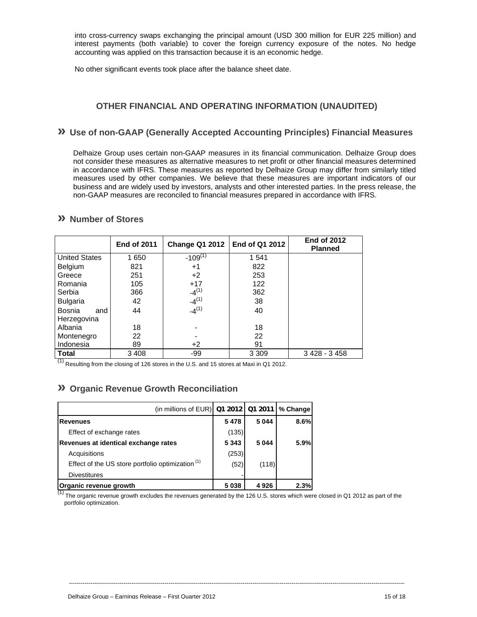into cross-currency swaps exchanging the principal amount (USD 300 million for EUR 225 million) and interest payments (both variable) to cover the foreign currency exposure of the notes. No hedge accounting was applied on this transaction because it is an economic hedge.

No other significant events took place after the balance sheet date.

### **OTHER FINANCIAL AND OPERATING INFORMATION (UNAUDITED)**

### **» Use of non-GAAP (Generally Accepted Accounting Principles) Financial Measures**

Delhaize Group uses certain non-GAAP measures in its financial communication. Delhaize Group does not consider these measures as alternative measures to net profit or other financial measures determined in accordance with IFRS. These measures as reported by Delhaize Group may differ from similarly titled measures used by other companies. We believe that these measures are important indicators of our business and are widely used by investors, analysts and other interested parties. In the press release, the non-GAAP measures are reconciled to financial measures prepared in accordance with IFRS.

### **» Number of Stores**

|                      | <b>End of 2011</b> | End of Q1 2012<br>Change Q1 2012 |         | <b>End of 2012</b><br><b>Planned</b> |
|----------------------|--------------------|----------------------------------|---------|--------------------------------------|
| <b>United States</b> | 1650               | $-109^{(1)}$                     | 1 541   |                                      |
| Belgium              | 821                | $+1$                             | 822     |                                      |
| Greece               | 251                | $+2$                             | 253     |                                      |
| Romania              | 105                | $+17$                            | 122     |                                      |
| Serbia               | 366                | $-4^{(1)}$                       | 362     |                                      |
| <b>Bulgaria</b>      | 42                 | $-4^{(1)}$                       | 38      |                                      |
| Bosnia<br>and        | 44                 | $-4^{(1)}$                       | 40      |                                      |
| Herzegovina          |                    |                                  |         |                                      |
| Albania              | 18                 |                                  | 18      |                                      |
| Montenegro           | 22                 |                                  | 22      |                                      |
| Indonesia            | 89                 | $+2$                             | 91      |                                      |
| <b>Total</b>         | 3 4 0 8            | -99                              | 3 3 0 9 | $3428 - 3458$                        |

 $<sup>(1)</sup>$  Resulting from the closing of 126 stores in the U.S. and 15 stores at Maxi in Q1 2012.</sup>

### **» Organic Revenue Growth Reconciliation**

| (in millions of EUR) 01 2012 01 2011                         |         |         | % Change |
|--------------------------------------------------------------|---------|---------|----------|
| <b>Revenues</b>                                              | 5478    | 5 0 4 4 | 8.6%     |
| Effect of exchange rates                                     | (135)   |         |          |
| Revenues at identical exchange rates                         | 5 3 4 3 | 5 0 4 4 | 5.9%     |
| Acquisitions                                                 | (253)   |         |          |
| Effect of the US store portfolio optimization <sup>(1)</sup> | (52)    | (118)   |          |
| <b>Divestitures</b>                                          |         |         |          |
| Organic revenue growth                                       | 5038    | 4926    | 2.3%     |

 $(1)$  The organic revenue growth excludes the revenues generated by the 126 U.S. stores which were closed in Q1 2012 as part of the portfolio optimization.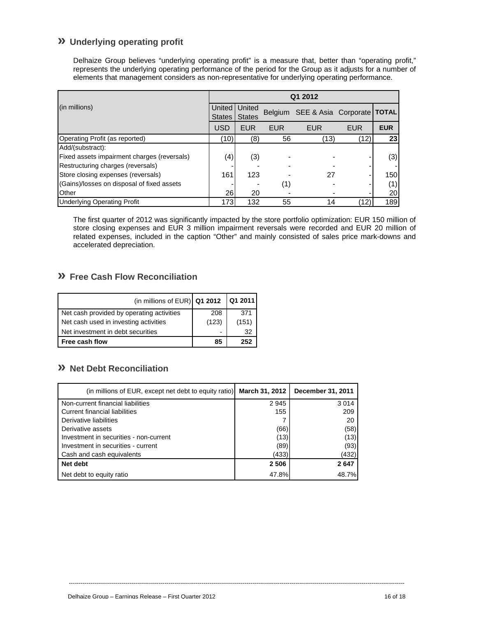### **» Underlying operating profit**

Delhaize Group believes "underlying operating profit" is a measure that, better than "operating profit," represents the underlying operating performance of the period for the Group as it adjusts for a number of elements that management considers as non-representative for underlying operating performance.

|                                             | Q1 2012   |                         |            |                                      |            |            |
|---------------------------------------------|-----------|-------------------------|------------|--------------------------------------|------------|------------|
| (in millions)<br>United I<br><b>States</b>  |           | United<br><b>States</b> |            | Belgium SEE & Asia Corporate   TOTAL |            |            |
|                                             | USD       | <b>EUR</b>              | <b>EUR</b> | <b>EUR</b>                           | <b>EUR</b> | <b>EUR</b> |
| Operating Profit (as reported)              | (10)      | (8)                     | 56         | (13)                                 | (12)       | 23         |
| Add/(substract):                            |           |                         |            |                                      |            |            |
| Fixed assets impairment charges (reversals) | (4)       | (3)                     |            |                                      |            | (3)        |
| Restructuring charges (reversals)           |           |                         |            |                                      |            |            |
| Store closing expenses (reversals)          | 161       | 123                     |            | 27                                   |            | 150        |
| (Gains)/losses on disposal of fixed assets  |           |                         | (1)        |                                      |            | (1)        |
| Other                                       | <b>26</b> | 20                      |            |                                      |            | 20         |
| <b>Underlying Operating Profit</b>          | 173       | 132                     | 55         | 14                                   | (12)       | 189        |

The first quarter of 2012 was significantly impacted by the store portfolio optimization: EUR 150 million of store closing expenses and EUR 3 million impairment reversals were recorded and EUR 20 million of related expenses, included in the caption "Other" and mainly consisted of sales price mark-downs and accelerated depreciation.

### **» Free Cash Flow Reconciliation**

| (in millions of EUR) $Q1 2012$            |       | <b>Q1 2011</b> |
|-------------------------------------------|-------|----------------|
| Net cash provided by operating activities | 208   | 371            |
| Net cash used in investing activities     | (123) | (151)          |
| Net investment in debt securities         |       | 32             |
| Free cash flow                            | 85    | 252            |

### **» Net Debt Reconciliation**

| (in millions of EUR, except net debt to equity ratio) March 31, 2012 |         | December 31, 2011 |
|----------------------------------------------------------------------|---------|-------------------|
| Non-current financial liabilities                                    | 2945    | 3014              |
| Current financial liabilities                                        | 155     | 209               |
| Derivative liabilities                                               |         | 20                |
| Derivative assets                                                    | (66)    | (58)              |
| Investment in securities - non-current                               | (13)    | (13)              |
| Investment in securities - current                                   | (89)    | (93)              |
| Cash and cash equivalents                                            | (433)   | (432)             |
| Net debt                                                             | 2 5 0 6 | 2647              |
| Net debt to equity ratio                                             | 47.8%   | 48.7%             |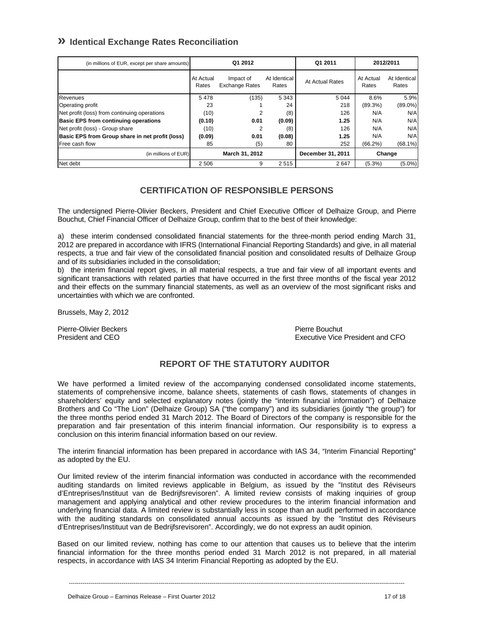### **» Identical Exchange Rates Reconciliation**

| (in millions of EUR, except per share amounts)  |                    | Q1 2012                            |                       | Q1 2011           | 2012/2011          |                       |
|-------------------------------------------------|--------------------|------------------------------------|-----------------------|-------------------|--------------------|-----------------------|
|                                                 | At Actual<br>Rates | Impact of<br><b>Exchange Rates</b> | At Identical<br>Rates | At Actual Rates   | At Actual<br>Rates | At Identical<br>Rates |
| Revenues                                        | 5478               | (135)                              | 5 3 4 3               | 5 0 4 4           | 8.6%               | 5.9%                  |
| Operating profit                                | 23                 |                                    | 24                    | 218               | (89.3%)            | $(89.0\%)$            |
| Net profit (loss) from continuing operations    | (10)               | 2                                  | (8)                   | 126               | N/A                | N/A                   |
| <b>Basic EPS from continuing operations</b>     | (0.10)             | 0.01                               | (0.09)                | 1.25              | N/A                | N/A                   |
| Net profit (loss) - Group share                 | (10)               | 2                                  | (8)                   | 126               | N/A                | N/A                   |
| Basic EPS from Group share in net profit (loss) | (0.09)             | 0.01                               | (0.08)                | 1.25              | N/A                | N/A                   |
| Free cash flow                                  | 85                 | (5)                                | 80                    | 252               | (66.2%)            | $(68.1\%)$            |
| (in millions of EUR)                            |                    | March 31, 2012                     |                       | December 31, 2011 |                    | Change                |
| Net debt                                        | 2 5 0 6            | 9                                  | 2515                  | 2647              | $(5.3\%)$          | $(5.0\%)$             |

### **CERTIFICATION OF RESPONSIBLE PERSONS**

The undersigned Pierre-Olivier Beckers, President and Chief Executive Officer of Delhaize Group, and Pierre Bouchut, Chief Financial Officer of Delhaize Group, confirm that to the best of their knowledge:

a) these interim condensed consolidated financial statements for the three-month period ending March 31, 2012 are prepared in accordance with IFRS (International Financial Reporting Standards) and give, in all material respects, a true and fair view of the consolidated financial position and consolidated results of Delhaize Group and of its subsidiaries included in the consolidation;

b) the interim financial report gives, in all material respects, a true and fair view of all important events and significant transactions with related parties that have occurred in the first three months of the fiscal year 2012 and their effects on the summary financial statements, as well as an overview of the most significant risks and uncertainties with which we are confronted.

Brussels, May 2, 2012

Pierre-Olivier Beckers **Pierre Bouchut** Pierre Bouchut

President and CEO **Executive Vice President and CFO** 

### **REPORT OF THE STATUTORY AUDITOR**

We have performed a limited review of the accompanying condensed consolidated income statements, statements of comprehensive income, balance sheets, statements of cash flows, statements of changes in shareholders' equity and selected explanatory notes (jointly the "interim financial information") of Delhaize Brothers and Co "The Lion" (Delhaize Group) SA ("the company") and its subsidiaries (jointly "the group") for the three months period ended 31 March 2012. The Board of Directors of the company is responsible for the preparation and fair presentation of this interim financial information. Our responsibility is to express a conclusion on this interim financial information based on our review.

The interim financial information has been prepared in accordance with IAS 34, "Interim Financial Reporting" as adopted by the EU.

Our limited review of the interim financial information was conducted in accordance with the recommended auditing standards on limited reviews applicable in Belgium, as issued by the "Institut des Réviseurs d'Entreprises/Instituut van de Bedrijfsrevisoren". A limited review consists of making inquiries of group management and applying analytical and other review procedures to the interim financial information and underlying financial data. A limited review is substantially less in scope than an audit performed in accordance with the auditing standards on consolidated annual accounts as issued by the "Institut des Réviseurs d'Entreprises/Instituut van de Bedrijfsrevisoren". Accordingly, we do not express an audit opinion.

Based on our limited review, nothing has come to our attention that causes us to believe that the interim financial information for the three months period ended 31 March 2012 is not prepared, in all material respects, in accordance with IAS 34 Interim Financial Reporting as adopted by the EU.